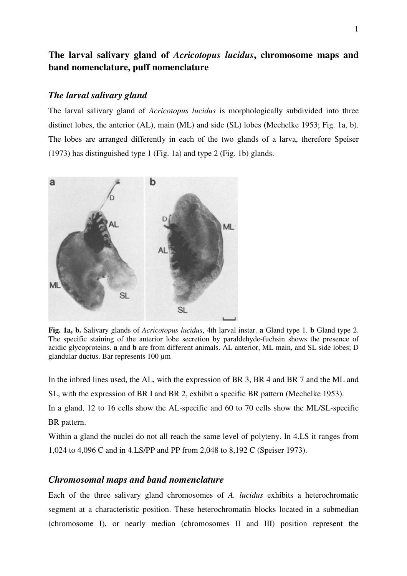# **The larval salivary gland of** *Acricotopus lucidus***, chromosome maps and band nomenclature, puff nomenclature**

#### *The larval salivary gland*

The larval salivary gland of *Acricotopus lucidus* is morphologically subdivided into three distinct lobes, the anterior (AL), main (ML) and side (SL) lobes (Mechelke 1953; Fig. 1a, b). The lobes are arranged differently in each of the two glands of a larva, therefore Speiser (1973) has distinguished type 1 (Fig. 1a) and type 2 (Fig. 1b) glands.



**Fig. 1a, b.** Salivary glands of *Acricotopus lucidus*, 4th larval instar. **a** Gland type 1. **b** Gland type 2. The specific staining of the anterior lobe secretion by paraldehyde-fuchsin shows the presence of acidic glycoproteins. **a** and **b** are from different animals. AL anterior, ML main, and SL side lobes; D glandular ductus. Bar represents 100 µm

In the inbred lines used, the AL, with the expression of BR 3, BR 4 and BR 7 and the ML and

SL, with the expression of BR I and BR 2, exhibit a specific BR pattern (Mechelke 1953).

In a gland, 12 to 16 cells show the AL-specific and 60 to 70 cells show the ML/SL-specific BR pattern.

Within a gland the nuclei do not all reach the same level of polyteny. In 4.LS it ranges from 1,024 to 4,096 C and in 4.LS/PP and PP from 2,048 to 8,192 C (Speiser 1973).

## *Chromosomal maps and band nomenclature*

Each of the three salivary gland chromosomes of *A. lucidus* exhibits a heterochromatic segment at a characteristic position. These heterochromatin blocks located in a submedian (chromosome I), or nearly median (chromosomes II and III) position represent the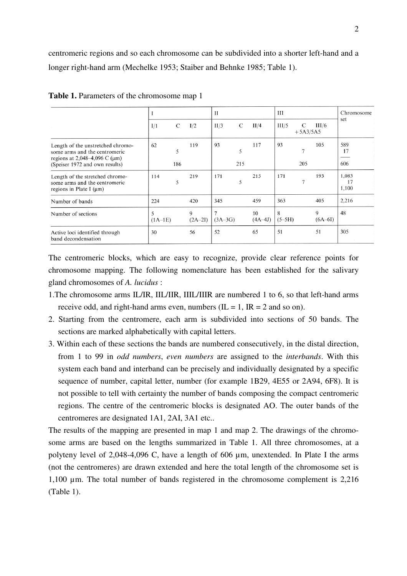centromeric regions and so each chromosome can be subdivided into a shorter left-hand and a longer right-hand arm (Mechelke 1953; Staiber and Behnke 1985; Table 1).

|                                                                                                                                             |                |                | П              |          |                 | Ш             |                 |                | Chromosome           |
|---------------------------------------------------------------------------------------------------------------------------------------------|----------------|----------------|----------------|----------|-----------------|---------------|-----------------|----------------|----------------------|
|                                                                                                                                             | C<br>I/1       | I/2            | II/3           | C        | II/4            | III/5         | C<br>$+5A3/5A5$ | III/6          | set                  |
| Length of the unstretched chromo-<br>some arms and the centromeric<br>regions at 2,048-4,096 C ( $\mu$ m)<br>(Speiser 1972 and own results) | 62<br>5<br>186 | 119            | 93             | 5<br>215 | 117             | 93            | $\tau$<br>205   | 105            | 589<br>17<br>606     |
| Length of the stretched chromo-<br>some arms and the centromeric<br>regions in Plate I $(\mu m)$                                            | 114<br>5       | 219            | 171            | 5        | 215             | 171           | 7               | 193            | 1,083<br>17<br>1,100 |
| Number of bands                                                                                                                             | 224            | 420            | 345            |          | 459             | 363           |                 | 405            | 2,216                |
| Number of sections                                                                                                                          | 5<br>$(1A-1E)$ | 9<br>$(2A-2I)$ | 7<br>$(3A-3G)$ |          | 10<br>$(4A-4J)$ | 8<br>$(5-5H)$ |                 | 9<br>$(6A-6I)$ | 48                   |
| Active loci identified through<br>band decondensation                                                                                       | 30             | 56             | 52             |          | 65              | 51            |                 | 51             | 305                  |

**Table 1.** Parameters of the chromosome map 1

The centromeric blocks, which are easy to recognize, provide clear reference points for chromosome mapping. The following nomenclature has been established for the salivary gland chromosomes of *A. lucidus* :

- 1.The chromosome arms IL/IR, IIL/IIR, IIIL/IIIR are numbered 1 to 6, so that left-hand arms receive odd, and right-hand arms even, numbers  $(IL = 1, IR = 2$  and so on).
- 2. Starting from the centromere, each arm is subdivided into sections of 50 bands. The sections are marked alphabetically with capital letters.
- 3. Within each of these sections the bands are numbered consecutively, in the distal direction, from 1 to 99 in *odd numbers*, *even numbers* are assigned to the *interbands*. With this system each band and interband can be precisely and individually designated by a specific sequence of number, capital letter, number (for example 1B29, 4E55 or 2A94, 6F8). It is not possible to tell with certainty the number of bands composing the compact centromeric regions. The centre of the centromeric blocks is designated AO. The outer bands of the centromeres are designated 1A1, 2AI, 3A1 etc..

The results of the mapping are presented in map 1 and map 2. The drawings of the chromosome arms are based on the lengths summarized in Table 1. All three chromosomes, at a polyteny level of 2,048-4,096 C, have a length of 606 µm, unextended. In Plate I the arms (not the centromeres) are drawn extended and here the total length of the chromosome set is 1,100 µm. The total number of bands registered in the chromosome complement is 2,216 (Table 1).